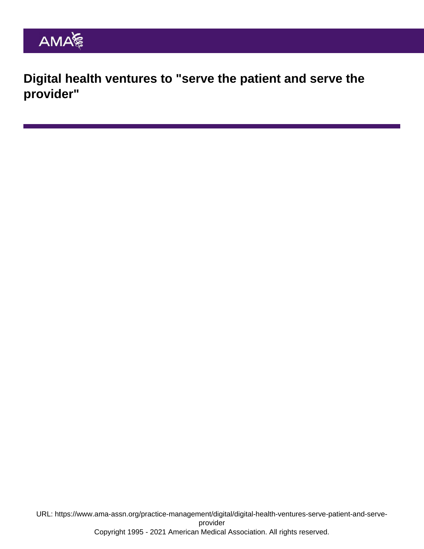Digital health ventures to "serve the patient and serve the provider"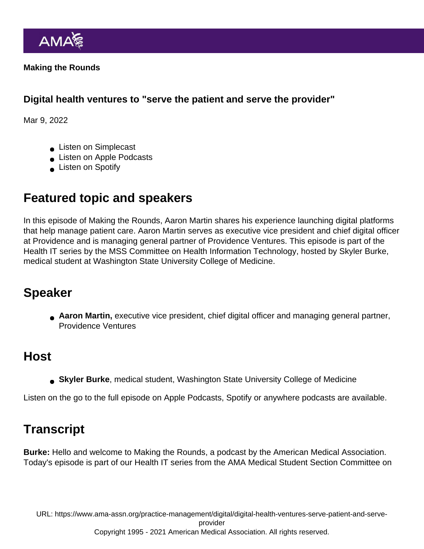Making the Rounds

Digital health ventures to "serve the patient and serve the provider"

Mar 9, 2022

- **Listen on Simplecast**
- **Listen on Apple Podcasts**
- **Listen on Spotify**

## Featured topic and speakers

In this episode of Making the Rounds, Aaron Martin shares his experience launching digital platforms that help manage patient care. Aaron Martin serves as executive vice president and chief digital officer at Providence and is managing general partner of Providence Ventures. This episode is part of the Health IT series by the MSS Committee on Health Information Technology, hosted by Skyler Burke, medical student at Washington State University College of Medicine.

## Speaker

Aaron Martin, executive vice president, chief digital officer and managing general partner, Providence Ventures

## Host

Skyler Burke , medical student, Washington State University College of Medicine

Listen on the go to the full episode on [Apple Podcasts](https://podcasts.apple.com/us/podcast/brian-clay-md-on-how-managing-covid-19-crystalized/id1434891498?i=1000552680894), [Spotify](https://open.spotify.com/episode/51PiVxQ6r7pwLkTWhVHI2v?si=af87c1e7b35345ba) or [anywhere podcasts](https://ama-making-the-rounds.simplecast.com/episodes/brian-clay-md-on-how-managing-covid-19-crystalized-operations-for-data-and-telehealth-at-ucsd) are available.

## **Transcript**

Burke: Hello and welcome to Making the Rounds, a podcast by the American Medical Association. Today's episode is part of our Health IT series from the AMA Medical Student Section Committee on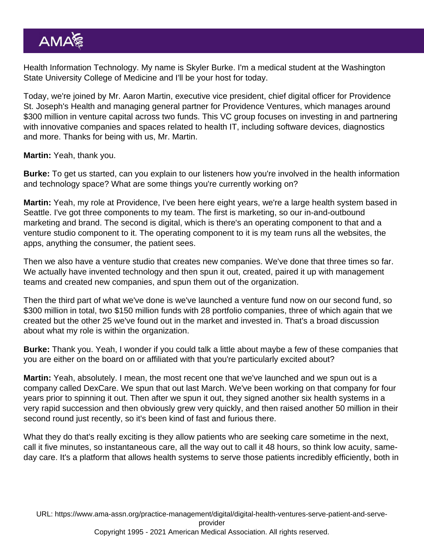Health Information Technology. My name is Skyler Burke. I'm a medical student at the Washington State University College of Medicine and I'll be your host for today.

Today, we're joined by Mr. Aaron Martin, executive vice president, chief digital officer for Providence St. Joseph's Health and managing general partner for Providence Ventures, which manages around \$300 million in venture capital across two funds. This VC group focuses on investing in and partnering with innovative companies and spaces related to health IT, including software devices, diagnostics and more. Thanks for being with us, Mr. Martin.

Martin: Yeah, thank you.

Burke: To get us started, can you explain to our listeners how you're involved in the health information and technology space? What are some things you're currently working on?

Martin: Yeah, my role at Providence, I've been here eight years, we're a large health system based in Seattle. I've got three components to my team. The first is marketing, so our in-and-outbound marketing and brand. The second is digital, which is there's an operating component to that and a venture studio component to it. The operating component to it is my team runs all the websites, the apps, anything the consumer, the patient sees.

Then we also have a venture studio that creates new companies. We've done that three times so far. We actually have invented technology and then spun it out, created, paired it up with management teams and created new companies, and spun them out of the organization.

Then the third part of what we've done is we've launched a venture fund now on our second fund, so \$300 million in total, two \$150 million funds with 28 portfolio companies, three of which again that we created but the other 25 we've found out in the market and invested in. That's a broad discussion about what my role is within the organization.

Burke: Thank you. Yeah, I wonder if you could talk a little about maybe a few of these companies that you are either on the board on or affiliated with that you're particularly excited about?

Martin: Yeah, absolutely. I mean, the most recent one that we've launched and we spun out is a company called DexCare. We spun that out last March. We've been working on that company for four years prior to spinning it out. Then after we spun it out, they signed another six health systems in a very rapid succession and then obviously grew very quickly, and then raised another 50 million in their second round just recently, so it's been kind of fast and furious there.

What they do that's really exciting is they allow patients who are seeking care sometime in the next, call it five minutes, so instantaneous care, all the way out to call it 48 hours, so think low acuity, sameday care. It's a platform that allows health systems to serve those patients incredibly efficiently, both in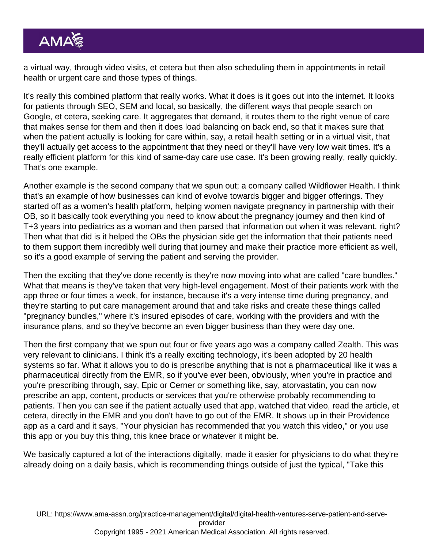a virtual way, through video visits, et cetera but then also scheduling them in appointments in retail health or urgent care and those types of things.

It's really this combined platform that really works. What it does is it goes out into the internet. It looks for patients through SEO, SEM and local, so basically, the different ways that people search on Google, et cetera, seeking care. It aggregates that demand, it routes them to the right venue of care that makes sense for them and then it does load balancing on back end, so that it makes sure that when the patient actually is looking for care within, say, a retail health setting or in a virtual visit, that they'll actually get access to the appointment that they need or they'll have very low wait times. It's a really efficient platform for this kind of same-day care use case. It's been growing really, really quickly. That's one example.

Another example is the second company that we spun out; a company called Wildflower Health. I think that's an example of how businesses can kind of evolve towards bigger and bigger offerings. They started off as a women's health platform, helping women navigate pregnancy in partnership with their OB, so it basically took everything you need to know about the pregnancy journey and then kind of T+3 years into pediatrics as a woman and then parsed that information out when it was relevant, right? Then what that did is it helped the OBs the physician side get the information that their patients need to them support them incredibly well during that journey and make their practice more efficient as well, so it's a good example of serving the patient and serving the provider.

Then the exciting that they've done recently is they're now moving into what are called "care bundles." What that means is they've taken that very high-level engagement. Most of their patients work with the app three or four times a week, for instance, because it's a very intense time during pregnancy, and they're starting to put care management around that and take risks and create these things called "pregnancy bundles," where it's insured episodes of care, working with the providers and with the insurance plans, and so they've become an even bigger business than they were day one.

Then the first company that we spun out four or five years ago was a company called Zealth. This was very relevant to clinicians. I think it's a really exciting technology, it's been adopted by 20 health systems so far. What it allows you to do is prescribe anything that is not a pharmaceutical like it was a pharmaceutical directly from the EMR, so if you've ever been, obviously, when you're in practice and you're prescribing through, say, Epic or Cerner or something like, say, atorvastatin, you can now prescribe an app, content, products or services that you're otherwise probably recommending to patients. Then you can see if the patient actually used that app, watched that video, read the article, et cetera, directly in the EMR and you don't have to go out of the EMR. It shows up in their Providence app as a card and it says, "Your physician has recommended that you watch this video," or you use this app or you buy this thing, this knee brace or whatever it might be.

We basically captured a lot of the interactions digitally, made it easier for physicians to do what they're already doing on a daily basis, which is recommending things outside of just the typical, "Take this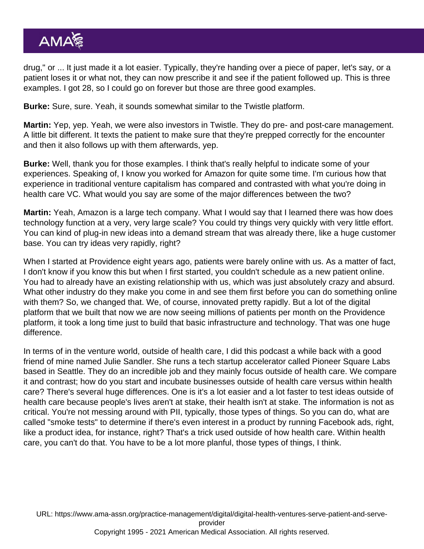drug," or ... It just made it a lot easier. Typically, they're handing over a piece of paper, let's say, or a patient loses it or what not, they can now prescribe it and see if the patient followed up. This is three examples. I got 28, so I could go on forever but those are three good examples.

Burke: Sure, sure. Yeah, it sounds somewhat similar to the Twistle platform.

Martin: Yep, yep. Yeah, we were also investors in Twistle. They do pre- and post-care management. A little bit different. It texts the patient to make sure that they're prepped correctly for the encounter and then it also follows up with them afterwards, yep.

Burke: Well, thank you for those examples. I think that's really helpful to indicate some of your experiences. Speaking of, I know you worked for Amazon for quite some time. I'm curious how that experience in traditional venture capitalism has compared and contrasted with what you're doing in health care VC. What would you say are some of the major differences between the two?

Martin: Yeah, Amazon is a large tech company. What I would say that I learned there was how does technology function at a very, very large scale? You could try things very quickly with very little effort. You can kind of plug-in new ideas into a demand stream that was already there, like a huge customer base. You can try ideas very rapidly, right?

When I started at Providence eight years ago, patients were barely online with us. As a matter of fact, I don't know if you know this but when I first started, you couldn't schedule as a new patient online. You had to already have an existing relationship with us, which was just absolutely crazy and absurd. What other industry do they make you come in and see them first before you can do something online with them? So, we changed that. We, of course, innovated pretty rapidly. But a lot of the digital platform that we built that now we are now seeing millions of patients per month on the Providence platform, it took a long time just to build that basic infrastructure and technology. That was one huge difference.

In terms of in the venture world, outside of health care, I did this podcast a while back with a good friend of mine named Julie Sandler. She runs a tech startup accelerator called Pioneer Square Labs based in Seattle. They do an incredible job and they mainly focus outside of health care. We compare it and contrast; how do you start and incubate businesses outside of health care versus within health care? There's several huge differences. One is it's a lot easier and a lot faster to test ideas outside of health care because people's lives aren't at stake, their health isn't at stake. The information is not as critical. You're not messing around with PII, typically, those types of things. So you can do, what are called "smoke tests" to determine if there's even interest in a product by running Facebook ads, right, like a product idea, for instance, right? That's a trick used outside of how health care. Within health care, you can't do that. You have to be a lot more planful, those types of things, I think.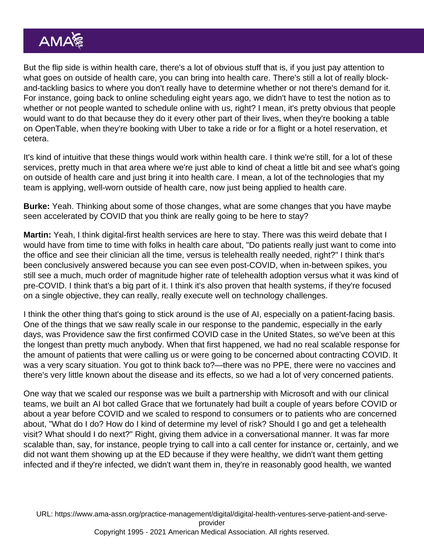But the flip side is within health care, there's a lot of obvious stuff that is, if you just pay attention to what goes on outside of health care, you can bring into health care. There's still a lot of really blockand-tackling basics to where you don't really have to determine whether or not there's demand for it. For instance, going back to online scheduling eight years ago, we didn't have to test the notion as to whether or not people wanted to schedule online with us, right? I mean, it's pretty obvious that people would want to do that because they do it every other part of their lives, when they're booking a table on OpenTable, when they're booking with Uber to take a ride or for a flight or a hotel reservation, et cetera.

It's kind of intuitive that these things would work within health care. I think we're still, for a lot of these services, pretty much in that area where we're just able to kind of cheat a little bit and see what's going on outside of health care and just bring it into health care. I mean, a lot of the technologies that my team is applying, well-worn outside of health care, now just being applied to health care.

Burke: Yeah. Thinking about some of those changes, what are some changes that you have maybe seen accelerated by COVID that you think are really going to be here to stay?

Martin: Yeah, I think digital-first health services are here to stay. There was this weird debate that I would have from time to time with folks in health care about, "Do patients really just want to come into the office and see their clinician all the time, versus is telehealth really needed, right?" I think that's been conclusively answered because you can see even post-COVID, when in-between spikes, you still see a much, much order of magnitude higher rate of telehealth adoption versus what it was kind of pre-COVID. I think that's a big part of it. I think it's also proven that health systems, if they're focused on a single objective, they can really, really execute well on technology challenges.

I think the other thing that's going to stick around is the use of AI, especially on a patient-facing basis. One of the things that we saw really scale in our response to the pandemic, especially in the early days, was Providence saw the first confirmed COVID case in the United States, so we've been at this the longest than pretty much anybody. When that first happened, we had no real scalable response for the amount of patients that were calling us or were going to be concerned about contracting COVID. It was a very scary situation. You got to think back to?—there was no PPE, there were no vaccines and there's very little known about the disease and its effects, so we had a lot of very concerned patients.

One way that we scaled our response was we built a partnership with Microsoft and with our clinical teams, we built an AI bot called Grace that we fortunately had built a couple of years before COVID or about a year before COVID and we scaled to respond to consumers or to patients who are concerned about, "What do I do? How do I kind of determine my level of risk? Should I go and get a telehealth visit? What should I do next?" Right, giving them advice in a conversational manner. It was far more scalable than, say, for instance, people trying to call into a call center for instance or, certainly, and we did not want them showing up at the ED because if they were healthy, we didn't want them getting infected and if they're infected, we didn't want them in, they're in reasonably good health, we wanted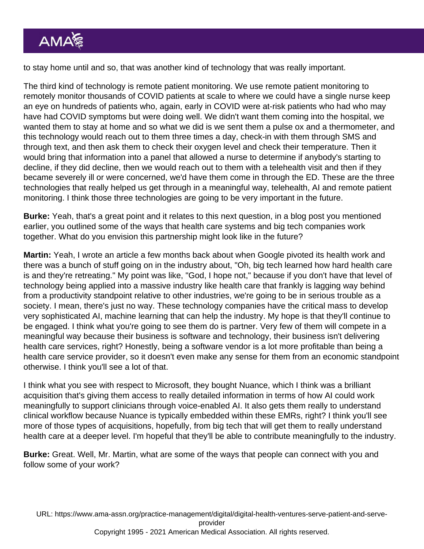to stay home until and so, that was another kind of technology that was really important.

The third kind of technology is remote patient monitoring. We use remote patient monitoring to remotely monitor thousands of COVID patients at scale to where we could have a single nurse keep an eye on hundreds of patients who, again, early in COVID were at-risk patients who had who may have had COVID symptoms but were doing well. We didn't want them coming into the hospital, we wanted them to stay at home and so what we did is we sent them a pulse ox and a thermometer, and this technology would reach out to them three times a day, check-in with them through SMS and through text, and then ask them to check their oxygen level and check their temperature. Then it would bring that information into a panel that allowed a nurse to determine if anybody's starting to decline, if they did decline, then we would reach out to them with a telehealth visit and then if they became severely ill or were concerned, we'd have them come in through the ED. These are the three technologies that really helped us get through in a meaningful way, telehealth, AI and remote patient monitoring. I think those three technologies are going to be very important in the future.

Burke: Yeah, that's a great point and it relates to this next question, in a blog post you mentioned earlier, you outlined some of the ways that health care systems and big tech companies work together. What do you envision this partnership might look like in the future?

Martin: Yeah, I wrote an article a few months back about when Google pivoted its health work and there was a bunch of stuff going on in the industry about, "Oh, big tech learned how hard health care is and they're retreating." My point was like, "God, I hope not," because if you don't have that level of technology being applied into a massive industry like health care that frankly is lagging way behind from a productivity standpoint relative to other industries, we're going to be in serious trouble as a society. I mean, there's just no way. These technology companies have the critical mass to develop very sophisticated AI, machine learning that can help the industry. My hope is that they'll continue to be engaged. I think what you're going to see them do is partner. Very few of them will compete in a meaningful way because their business is software and technology, their business isn't delivering health care services, right? Honestly, being a software vendor is a lot more profitable than being a health care service provider, so it doesn't even make any sense for them from an economic standpoint otherwise. I think you'll see a lot of that.

I think what you see with respect to Microsoft, they bought Nuance, which I think was a brilliant acquisition that's giving them access to really detailed information in terms of how AI could work meaningfully to support clinicians through voice-enabled AI. It also gets them really to understand clinical workflow because Nuance is typically embedded within these EMRs, right? I think you'll see more of those types of acquisitions, hopefully, from big tech that will get them to really understand health care at a deeper level. I'm hopeful that they'll be able to contribute meaningfully to the industry.

Burke: Great. Well, Mr. Martin, what are some of the ways that people can connect with you and follow some of your work?